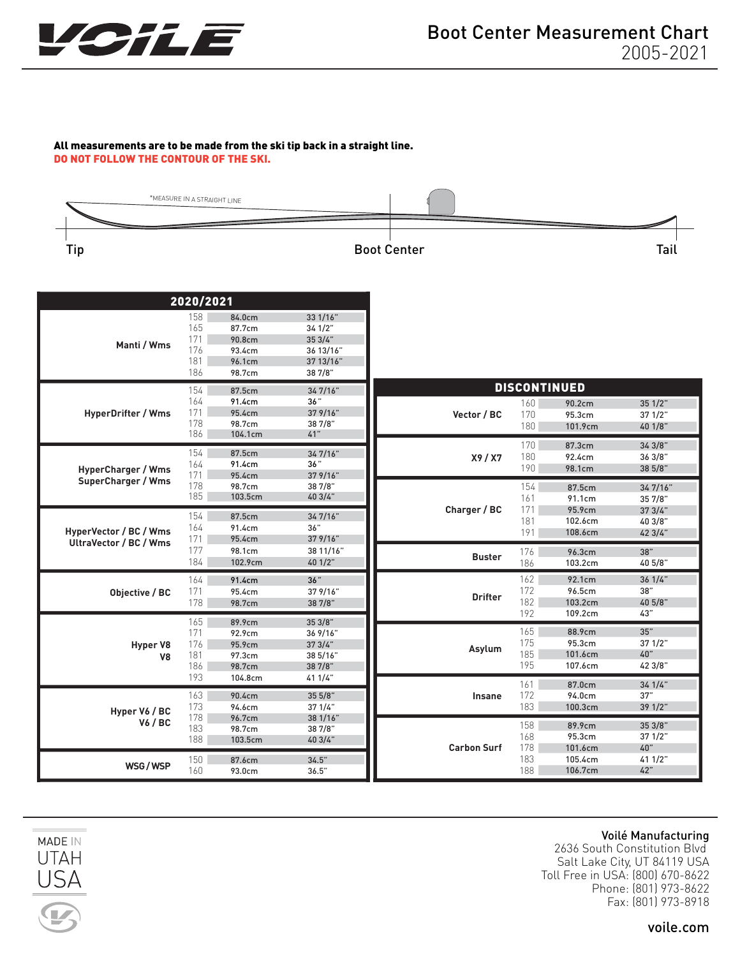

#### All measurements are to be made from the ski tip back in a straight line. DO NOT FOLLOW THE CONTOUR OF THE SKI.



| 2020/2021                                              |                                        |                                                          |                                                                    |                    |                          |                                                    |                                        |
|--------------------------------------------------------|----------------------------------------|----------------------------------------------------------|--------------------------------------------------------------------|--------------------|--------------------------|----------------------------------------------------|----------------------------------------|
| Manti / Wms                                            | 158<br>165<br>171<br>176<br>181<br>186 | 84.0cm<br>87.7cm<br>90.8cm<br>93.4cm<br>96.1cm<br>98.7cm | 33 1/16"<br>34 1/2"<br>353/4"<br>36 13/16"<br>37 13/16"<br>38 7/8" |                    |                          |                                                    |                                        |
| <b>HyperDrifter / Wms</b>                              | 154<br>164<br>171<br>178<br>186        | 87.5cm<br>91.4cm<br>95.4cm<br>98.7cm<br>104.1cm          | 347/16"<br>36"<br>37 9/16"<br>38 7/8"<br>41"                       | Vector / BC        | 160<br>170<br>180        | <b>DISCONTINUED</b><br>90.2cm<br>95.3cm<br>101.9cm | 351/2"<br>37 1/2"<br>40 1/8"           |
| <b>HyperCharger / Wms</b><br><b>SuperCharger / Wms</b> | 154<br>164<br>171                      | 87.5cm<br>91.4cm<br>95.4cm                               | 347/16"<br>36"<br>379/16"                                          | X9/XX              | 170<br>180<br>190        | 87.3cm<br>92.4cm<br>98.1cm                         | 343/8"<br>363/8"<br>38 5/8"            |
|                                                        | 178<br>185<br>154                      | 98.7cm<br>103.5cm<br>87.5cm                              | 38 7/8"<br>40 3/4"<br>347/16"                                      | Charger / BC       | 154<br>161<br>171<br>181 | 87.5cm<br>91.1cm<br>95.9cm<br>102.6cm              | 347/16"<br>357/8"<br>373/4"<br>40 3/8" |
| HyperVector / BC / Wms<br>UltraVector / BC / Wms       | 164<br>171<br>177<br>184               | 91.4cm<br>95.4cm<br>98.1cm<br>102.9cm                    | 36"<br>379/16"<br>38 11/16"<br>40 1/2"                             | <b>Buster</b>      | 191<br>176<br>186        | 108.6cm<br>96.3cm<br>103.2cm                       | 42 3/4"<br>38"<br>40 5/8"              |
| Objective / BC                                         | 164<br>171<br>178                      | 91.4cm<br>95.4cm<br>98.7cm                               | 36"<br>379/16"<br>38 7/8"                                          | <b>Drifter</b>     | 162<br>172<br>182<br>192 | 92.1cm<br>96.5cm<br>103.2cm<br>109.2cm             | 361/4"<br>38"<br>40 5/8"<br>43"        |
| <b>Hyper V8</b><br>V <sub>8</sub>                      | 165<br>171<br>176<br>181<br>186        | 89.9cm<br>92.9cm<br>95.9cm<br>97.3cm<br>98.7cm           | 35 3/8"<br>36 9/16"<br>373/4"<br>38 5/16"<br>38 7/8"               | Asylum             | 165<br>175<br>185<br>195 | 88.9cm<br>95.3cm<br>101.6cm<br>107.6cm             | 35"<br>371/2"<br>40"<br>42 3/8"        |
| Hyper V6 / BC<br><b>V6 / BC</b>                        | 193<br>163<br>173                      | 104.8cm<br>90.4cm<br>94.6cm                              | 411/4"<br>35 5/8"<br>371/4"                                        | <b>Insane</b>      | 161<br>172<br>183        | 87.0cm<br>94.0cm<br>100.3cm                        | 341/4"<br>37"<br>39 1/2"               |
|                                                        | 178<br>183<br>188                      | 96.7cm<br>98.7cm<br>103.5cm                              | 38 1/16"<br>38 7/8"<br>40 3/4"                                     | <b>Carbon Surf</b> | 158<br>168<br>178        | 89.9cm<br>95.3cm<br>101.6cm                        | 353/8"<br>37 1/2"<br>40"               |
| WSG/WSP                                                | 150<br>160                             | 87.6cm<br>93.0cm                                         | 34.5"<br>36.5"                                                     |                    | 183<br>188               | 105.4cm<br>106.7cm                                 | 41 1/2"<br>42"                         |



2636 South Constitution Blvd Salt Lake City, UT 84119 USA Toll Free in USA: (800) 670-8622 Phone: (801) 973-8622 Fax: (801) 973-8918

**UTAH** JSA

MADE IN

voile.com